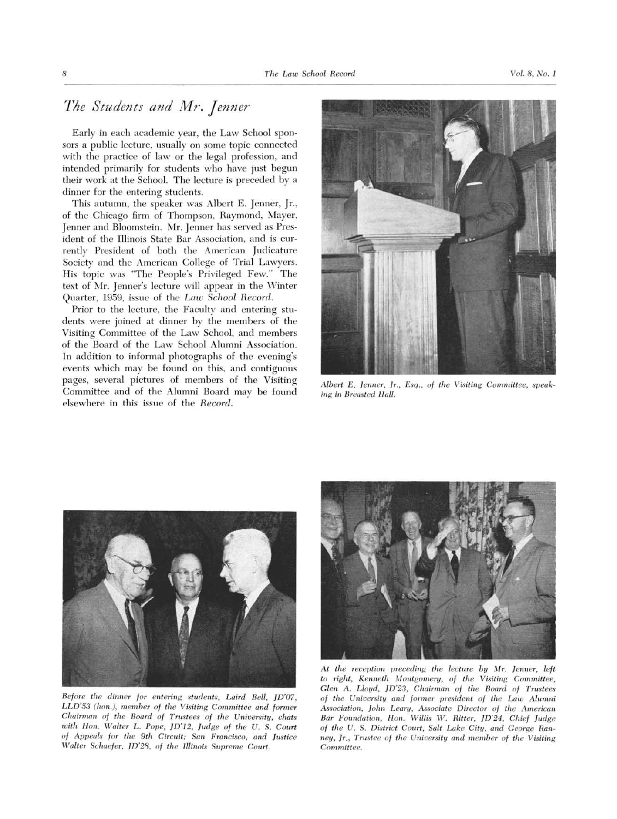## The Students and Mr. Jenner

Early in each academic year, the Law School sponsors <sup>a</sup> public lecture, usually on some topic connected with the practice of law or the legal profession, and intended primarily for students who have just begun their work at the School. The lecture is preceded by <sup>a</sup> dinner for the entering students.

This autumn, the speaker was Albert E. Jenner, Jr., of the Chicago firm of Thompson, Raymond, Mayer, Jenner and Bloomstein. Mr. Jenner has served as President of the Illinois State Bar Association, and is currently President of both the American Judicature Society and the American College of Trial Lawyers. His topic was "The People's Privileged Few." The text of Mr. Jenner's lecture will appear in the Winter Quarter, 1959, issue of the Law School Record.

Prior to the lecture, the Faculty and entering students were joined at dinner by the members of the Visiting Committee of the Law School, and members of the Board of the Law School Alumni Association. In addition to informal photographs of the evening's events which may be found on this, and contiguous pages, several pictures of members of the Visiting Committee and of the Alumni Board may be found elsewhere in this issue of the Record.



Albert E. Jenner, Jr., Esq., of the Visiting Committee, speaking in Breasted Hall.



Before the dinner for entering students, Laird Bell, JD'07, LLD'53 (han.), member of the Visiting Committee and former Chairman of the Board of Trustees of the University, chats with Hon. Walter L. Pope, JD'12, Judge of the U. S. Court of Appeals for the 9th Circuit; San Francisco, and Justice Walter Schaefer, JD'28, of the Illinois Supreme Court.



At the reception preceding the lecture by Mr. Jenner, left to right, Kenneth Montgomery, of the Visiting Committee, Glen A. Lloyd, JD'23, Chairman of the Board of Trustees of the University and former president of the Law Alumni Association, John Leary, Associate Director of the American Bar Foundation, Hon. Willis W. Ritter, JD'24, Chief Judge of the U. S. District Court, Salt Lake City, and George Ranney, lr., Trustee of the University and member of the Visiting Committee.